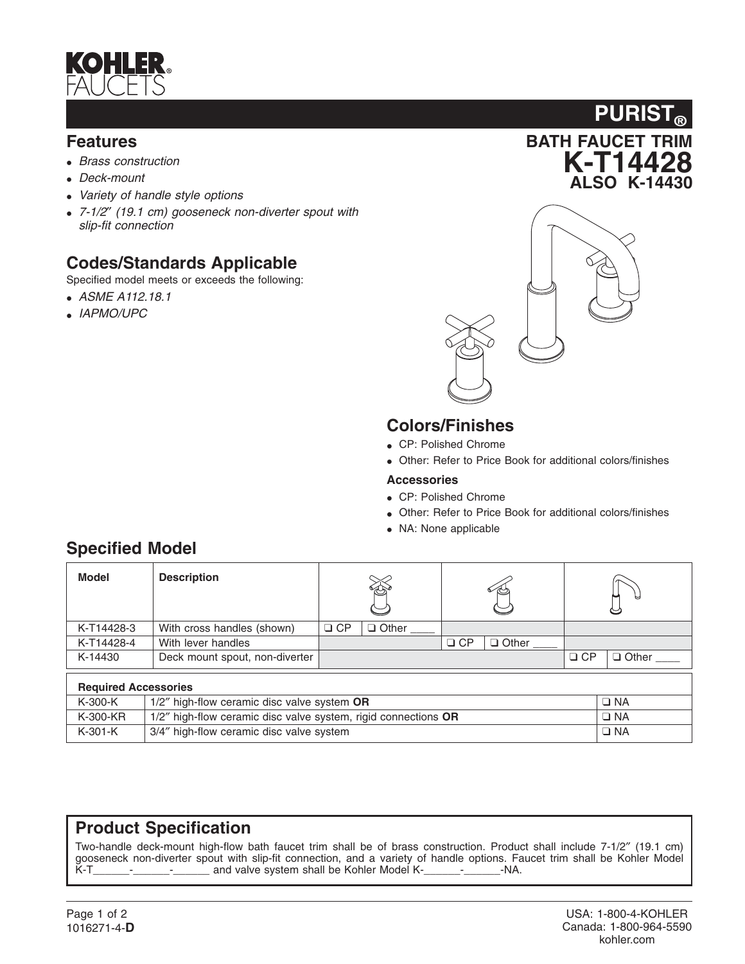

### **Features**

- *Brass construction*
- *Deck-mount*
- *Variety of handle style options*
- *7-1/2*″ *(19.1 cm) gooseneck non-diverter spout with slip-fit connection*

## **Codes/Standards Applicable**

Specified model meets or exceeds the following:

- *ASME A112.18.1*
- *IAPMO/UPC*





## **Colors/Finishes**

- CP: Polished Chrome
- Other: Refer to Price Book for additional colors/finishes

#### **Accessories**

- CP: Polished Chrome
- Other: Refer to Price Book for additional colors/finishes
- NA: None applicable

| Model                       | <b>Description</b>                                             |           |              |           |              |           |              |  |  |
|-----------------------------|----------------------------------------------------------------|-----------|--------------|-----------|--------------|-----------|--------------|--|--|
| K-T14428-3                  | With cross handles (shown)                                     | $\Box$ CP | $\Box$ Other |           |              |           |              |  |  |
| K-T14428-4                  | With lever handles                                             |           |              | $\Box$ CP | $\Box$ Other |           |              |  |  |
| K-14430                     | Deck mount spout, non-diverter                                 |           |              |           |              | $\Box$ CP | $\Box$ Other |  |  |
| <b>Required Accessories</b> |                                                                |           |              |           |              |           |              |  |  |
| $K-300-K$                   | 1/2" high-flow ceramic disc valve system OR                    |           |              |           |              |           | $\Box$ NA    |  |  |
| K-300-KR                    | 1/2" high-flow ceramic disc valve system, rigid connections OR |           |              |           |              |           | $\Box$ NA    |  |  |
| $K-301-K$                   | 3/4" high-flow ceramic disc valve system                       |           |              |           |              |           | $\Box$ NA    |  |  |

# **Specified Model**

## **Product Specification**

Two-handle deck-mount high-flow bath faucet trim shall be of brass construction. Product shall include 7-1/2″ (19.1 cm) gooseneck non-diverter spout with slip-fit connection, and a variety of handle options. Faucet trim shall be Kohler Model K-T<br>K-T - The and valve system shall be Kohler Model K-T - - NA. and valve system shall be Kohler Model K-\_\_\_\_\_\_-\_